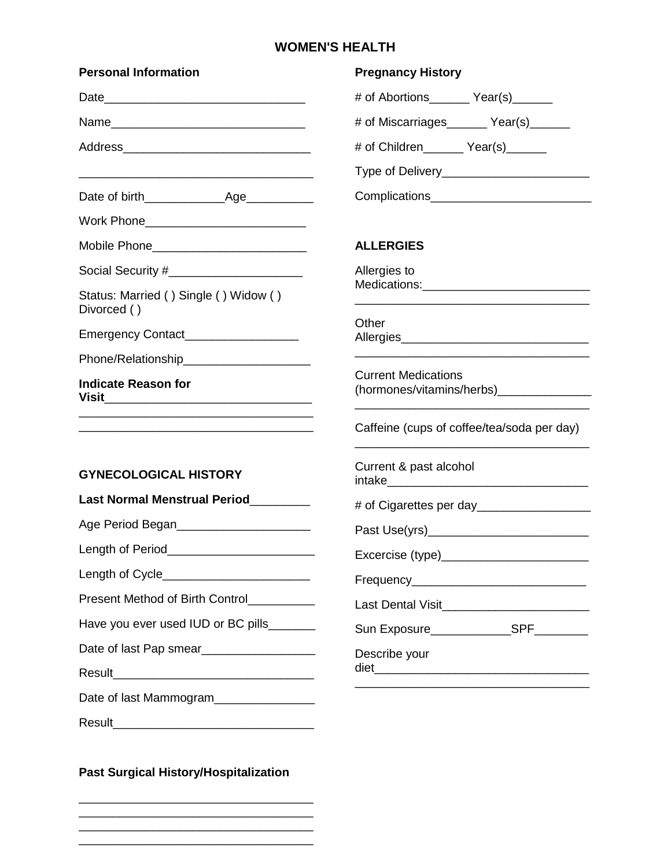## **WOMEN'S HEALTH**

| <b>Personal Information</b>                                                                                                    | <b>Pregnancy History</b>                      |  |
|--------------------------------------------------------------------------------------------------------------------------------|-----------------------------------------------|--|
|                                                                                                                                | # of Abortions _______ Year(s) ______         |  |
|                                                                                                                                | # of Miscarriages_______ Year(s)______        |  |
|                                                                                                                                | # of Children ________ Year(s)_______         |  |
|                                                                                                                                | Type of Delivery____________________________  |  |
|                                                                                                                                |                                               |  |
| Work Phone________________________________                                                                                     |                                               |  |
| Mobile Phone_____________________________                                                                                      | <b>ALLERGIES</b>                              |  |
| Social Security #________________________                                                                                      | Allergies to                                  |  |
| Status: Married () Single () Widow ()<br>Divorced ()                                                                           |                                               |  |
| Emergency Contact___________________                                                                                           | Other                                         |  |
|                                                                                                                                |                                               |  |
| <b>Indicate Reason for</b>                                                                                                     | <b>Current Medications</b>                    |  |
|                                                                                                                                | Caffeine (cups of coffee/tea/soda per day)    |  |
| <b>GYNECOLOGICAL HISTORY</b>                                                                                                   | Current & past alcohol                        |  |
| Last Normal Menstrual Period                                                                                                   |                                               |  |
| Age Period Began _______________________                                                                                       |                                               |  |
|                                                                                                                                | Excercise (type)___________________________   |  |
| Length of Cycle________________________                                                                                        |                                               |  |
| Present Method of Birth Control                                                                                                | Last Dental Visit____________________________ |  |
| Have you ever used IUD or BC pills_______                                                                                      | Sun Exposure______________SPF________         |  |
| Date of last Pap smear__________________                                                                                       | Describe your                                 |  |
|                                                                                                                                |                                               |  |
| Date of last Mammogram_______________                                                                                          |                                               |  |
| Result<br><u> 1980 - Jan Stein Bernstein, mars and der Stein Bernstein und der Stein Bernstein und der Stein Bernstein und</u> |                                               |  |

**Past Surgical History/Hospitalization**

\_\_\_\_\_\_\_\_\_\_\_\_\_\_\_\_\_\_\_\_\_\_\_\_\_\_\_\_\_\_\_\_\_\_\_ \_\_\_\_\_\_\_\_\_\_\_\_\_\_\_\_\_\_\_\_\_\_\_\_\_\_\_\_\_\_\_\_\_\_\_ \_\_\_\_\_\_\_\_\_\_\_\_\_\_\_\_\_\_\_\_\_\_\_\_\_\_\_\_\_\_\_\_\_\_\_ \_\_\_\_\_\_\_\_\_\_\_\_\_\_\_\_\_\_\_\_\_\_\_\_\_\_\_\_\_\_\_\_\_\_\_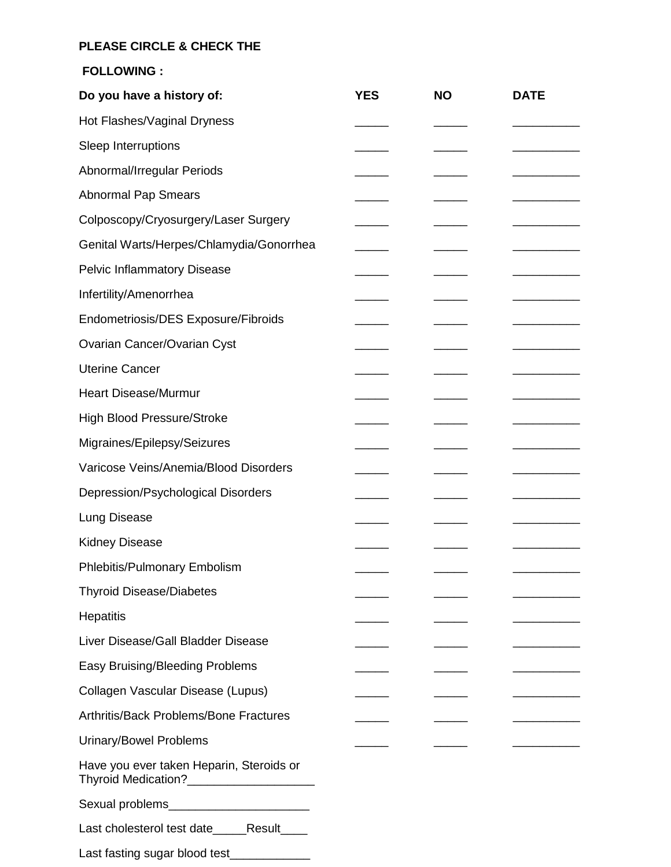## **PLEASE CIRCLE & CHECK THE**

**FOLLOWING :**

| Do you have a history of:                                                                | <b>YES</b> | <b>NO</b> | <b>DATE</b> |
|------------------------------------------------------------------------------------------|------------|-----------|-------------|
| Hot Flashes/Vaginal Dryness                                                              |            |           |             |
| Sleep Interruptions                                                                      |            |           |             |
| Abnormal/Irregular Periods                                                               |            |           |             |
| <b>Abnormal Pap Smears</b>                                                               |            |           |             |
| Colposcopy/Cryosurgery/Laser Surgery                                                     |            |           |             |
| Genital Warts/Herpes/Chlamydia/Gonorrhea                                                 |            |           |             |
| <b>Pelvic Inflammatory Disease</b>                                                       |            |           |             |
| Infertility/Amenorrhea                                                                   |            |           |             |
| Endometriosis/DES Exposure/Fibroids                                                      |            |           |             |
| Ovarian Cancer/Ovarian Cyst                                                              |            |           |             |
| <b>Uterine Cancer</b>                                                                    |            |           |             |
| <b>Heart Disease/Murmur</b>                                                              |            |           |             |
| <b>High Blood Pressure/Stroke</b>                                                        |            |           |             |
| Migraines/Epilepsy/Seizures                                                              |            |           |             |
| Varicose Veins/Anemia/Blood Disorders                                                    |            |           |             |
| Depression/Psychological Disorders                                                       |            |           |             |
| <b>Lung Disease</b>                                                                      |            |           |             |
| <b>Kidney Disease</b>                                                                    |            |           |             |
| Phlebitis/Pulmonary Embolism                                                             |            |           |             |
| <b>Thyroid Disease/Diabetes</b>                                                          |            |           |             |
| <b>Hepatitis</b>                                                                         |            |           |             |
| Liver Disease/Gall Bladder Disease                                                       |            |           |             |
| Easy Bruising/Bleeding Problems                                                          |            |           |             |
| Collagen Vascular Disease (Lupus)                                                        |            |           |             |
| Arthritis/Back Problems/Bone Fractures                                                   |            |           |             |
| <b>Urinary/Bowel Problems</b>                                                            |            |           |             |
| Have you ever taken Heparin, Steroids or<br>Thyroid Medication?_________________________ |            |           |             |
| Sexual problems__________________________                                                |            |           |             |
| Last cholesterol test date______Result____                                               |            |           |             |
| Last fasting sugar blood test______________                                              |            |           |             |